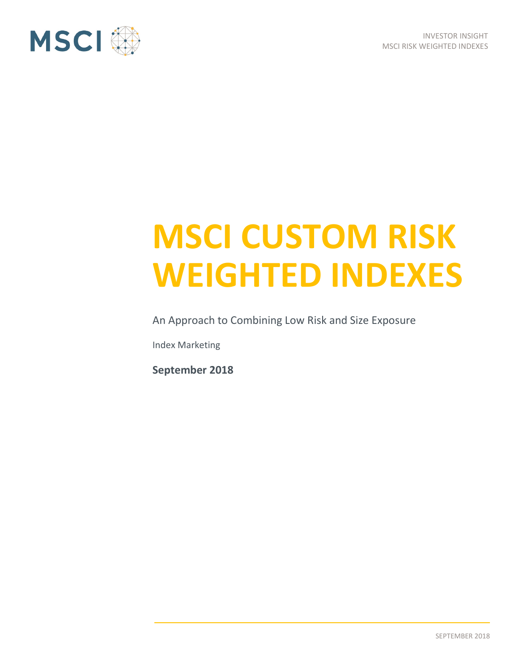

# **MSCI CUSTOM RISK WEIGHTED INDEXES**

An Approach to Combining Low Risk and Size Exposure

Index Marketing

**September 2018**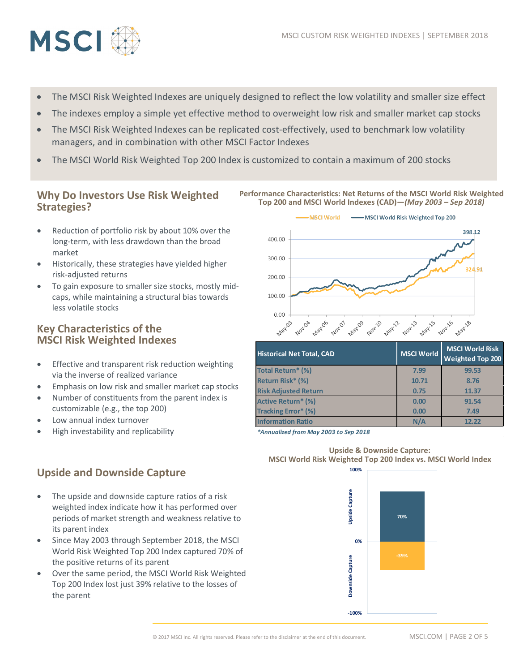

- The MSCI Risk Weighted Indexes are uniquely designed to reflect the low volatility and smaller size effect
- The indexes employ a simple yet effective method to overweight low risk and smaller market cap stocks
- The MSCI Risk Weighted Indexes can be replicated cost-effectively, used to benchmark low volatility managers, and in combination with other MSCI Factor Indexes
- The MSCI World Risk Weighted Top 200 Index is customized to contain a maximum of 200 stocks

## **Why Do Investors Use Risk Weighted Strategies?**

- Reduction of portfolio risk by about 10% over the long-term, with less drawdown than the broad market
- Historically, these strategies have yielded higher risk-adjusted returns
- To gain exposure to smaller size stocks, mostly midcaps, while maintaining a structural bias towards less volatile stocks

## **Key Characteristics of the MSCI Risk Weighted Indexes**

- Effective and transparent risk reduction weighting via the inverse of realized variance
- Emphasis on low risk and smaller market cap stocks
- Number of constituents from the parent index is customizable (e.g., the top 200)
- Low annual index turnover

its parent index

• High investability and replicability

**Upside and Downside Capture**

#### **Performance Characteristics: Net Returns of the MSCI World Risk Weighted Top 200 and MSCI World Indexes (CAD)—***(May 2003 – Sep 2018)*



| <b>Historical Net Total, CAD</b> | MSCI World | <b>MSCI World Risk</b><br><b>Weighted Top 200</b> |
|----------------------------------|------------|---------------------------------------------------|
| <b>Total Return* (%)</b>         | 7.99       | 99.53                                             |
| Return Risk* (%)                 | 10.71      | 8.76                                              |
| <b>Risk Adjusted Return</b>      | 0.75       | 11.37                                             |
| <b>Active Return* (%)</b>        | 0.00       | 91.54                                             |
| <b>Tracking Error* (%)</b>       | 0.00       | 7.49                                              |
| <b>Information Ratio</b>         | N/A        | 12.22                                             |

*\*Annualized from May 2003 to Sep 2018*



The upside and downside capture ratios of a risk weighted index indicate how it has performed over periods of market strength and weakness relative to

- Since May 2003 through September 2018, the MSCI World Risk Weighted Top 200 Index captured 70% of the positive returns of its parent
- Over the same period, the MSCI World Risk Weighted Top 200 Index lost just 39% relative to the losses of the parent



© 2017 MSCI Inc. All rights reserved. Please refer to the disclaimer at the end of this document. MSCI.COM | PAGE 2 OF 5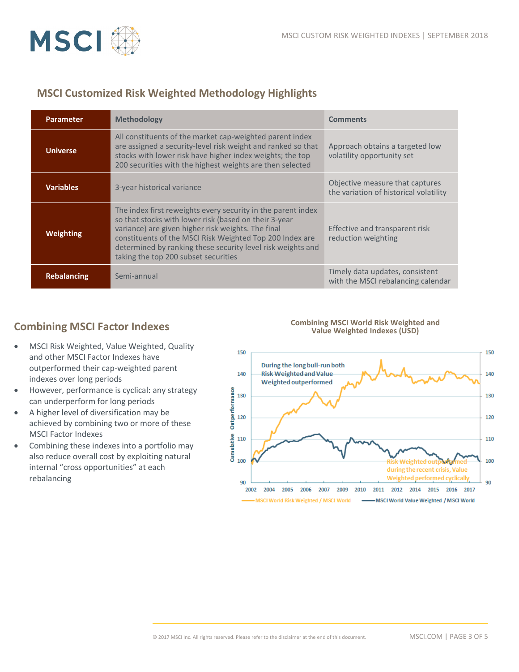

# **MSCI Customized Risk Weighted Methodology Highlights**

| <b>Parameter</b>   | <b>Methodology</b>                                                                                                                                                                                                                                                                                                                             | <b>Comments</b>                                                           |
|--------------------|------------------------------------------------------------------------------------------------------------------------------------------------------------------------------------------------------------------------------------------------------------------------------------------------------------------------------------------------|---------------------------------------------------------------------------|
| <b>Universe</b>    | All constituents of the market cap-weighted parent index<br>are assigned a security-level risk weight and ranked so that<br>stocks with lower risk have higher index weights; the top<br>200 securities with the highest weights are then selected                                                                                             | Approach obtains a targeted low<br>volatility opportunity set             |
| <b>Variables</b>   | 3-year historical variance                                                                                                                                                                                                                                                                                                                     | Objective measure that captures<br>the variation of historical volatility |
| Weighting          | The index first reweights every security in the parent index<br>so that stocks with lower risk (based on their 3-year<br>variance) are given higher risk weights. The final<br>constituents of the MSCI Risk Weighted Top 200 Index are<br>determined by ranking these security level risk weights and<br>taking the top 200 subset securities | Effective and transparent risk<br>reduction weighting                     |
| <b>Rebalancing</b> | Semi-annual                                                                                                                                                                                                                                                                                                                                    | Timely data updates, consistent<br>with the MSCI rebalancing calendar     |

## **Combining MSCI Factor Indexes**

- MSCI Risk Weighted, Value Weighted, Quality and other MSCI Factor Indexes have outperformed their cap-weighted parent indexes over long periods
- However, performance is cyclical: any strategy can underperform for long periods
- A higher level of diversification may be achieved by combining two or more of these MSCI Factor Indexes
- Combining these indexes into a portfolio may also reduce overall cost by exploiting natural internal "cross opportunities" at each rebalancing

#### **Combining MSCI World Risk Weighted and Value Weighted Indexes (USD)**

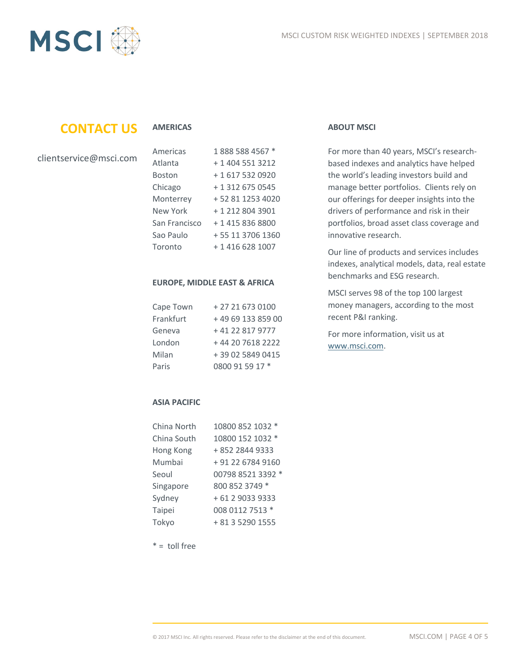

# **CONTACT US**

## **AMERICAS**

| clientservice@msci.com |  |
|------------------------|--|
|------------------------|--|

| Americas      | 1888 588 4567 *  |
|---------------|------------------|
| Atlanta       | + 1 404 551 3212 |
| <b>Boston</b> | +1 617 532 0920  |
| Chicago       | + 1 312 675 0545 |
| Monterrey     | +52 81 1253 4020 |
| New York      | +1 212 804 3901  |
| San Francisco | + 1 415 836 8800 |
| Sao Paulo     | +55 11 3706 1360 |
| Toronto       | + 1 416 628 1007 |

### **EUROPE, MIDDLE EAST & AFRICA**

| Cape Town | + 27 21 673 0100  |
|-----------|-------------------|
| Frankfurt | +49 69 133 859 00 |
| Geneva    | +41 22 817 9777   |
| London    | +44 20 7618 2222  |
| Milan     | +39 02 5849 0415  |
| Paris     | 0800 91 59 17 *   |

## **ABOUT MSCI**

For more than 40 years, MSCI's researchbased indexes and analytics have helped the world's leading investors build and manage better portfolios. Clients rely on our offerings for deeper insights into the drivers of performance and risk in their portfolios, broad asset class coverage and innovative research.

Our line of products and services includes indexes, analytical models, data, real estate benchmarks and ESG research.

MSCI serves 98 of the top 100 largest money managers, according to the most recent P&I ranking.

For more information, visit us at [www.msci.com.](file://int.msci.com/root/London/lib/Marketing/London/Rebranding%20Project/Templates/New%20Logo/Nearly%20There/www.msci.com)

## **ASIA PACIFIC**

| China North | 10800 852 1032 *  |
|-------------|-------------------|
| China South | 10800 152 1032 *  |
| Hong Kong   | +852 2844 9333    |
| Mumbai      | + 91 22 6784 9160 |
| Seoul       | 00798 8521 3392 * |
| Singapore   | 800 852 3749 *    |
| Sydney      | + 61 2 9033 9333  |
| Taipei      | 008 0112 7513 *   |
| Tokyo       | + 81 3 5290 1555  |

 $* =$  toll free